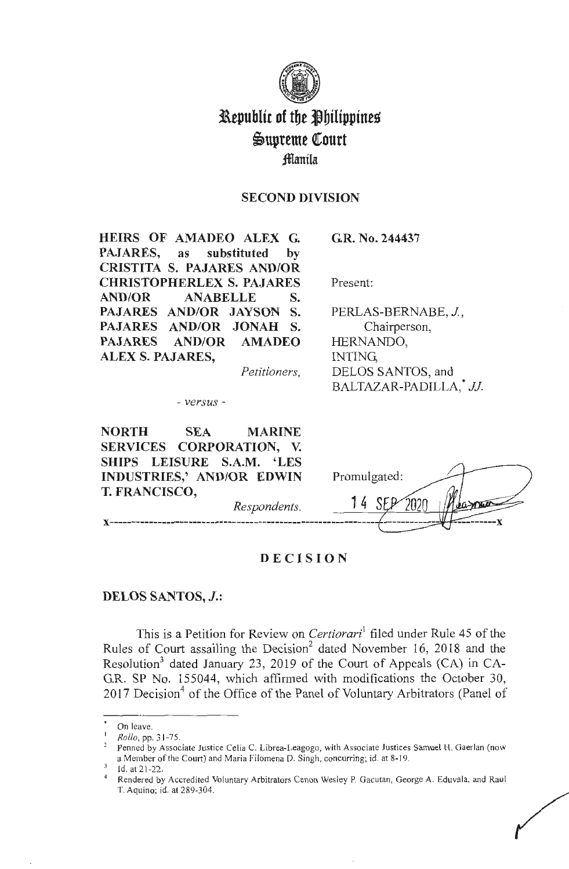

# **l\epublit of tbe llbilippineg**   $\mathfrak{S}$ upreme Court **:§iantla**

# **SECOND DIVISION**

**HEIRS OF AMADEO ALEX G. PAJARES, as substituted by CRISTITA S. PAJARES AND/OR CHRISTOPHERLEX S. PAJARES AND/OR ANABELLE S. PAJARES AND/OR JAYSON S. PAJARES AND/OR JONAH S. PAJARES AND/OR AMADEO ALEX S. PAJARES,** 

**G.R. No. 244437** 

Present:

PERLAS-BERNABE, J., Chairperson, HERNANDO, INTING, DELOS SANTOS, and BALTAZAR-PADILLA,\* JJ.

*Petitioners,* 

- *versus* -

**NORTH SEA MARINE SERVICES CORPORATION, V. SHIPS LEISURE S.A.M. 'LES INDUSTRIES,' AND/OR EDWIN T. FRANCISCO,** 

| SHIPS LEISURE S.A.M. 'LES<br>INDUSTRIES,' AND/OR EDWIN | Promulgated: |
|--------------------------------------------------------|--------------|
| T. FRANCISCO,<br>Respondents.                          | 10700        |
|                                                        |              |

# **DECISION**

### **DELOS SANTOS, J.:**

This is a Petition for Review on *Certiorari*<sup>1</sup> filed under Rule 45 of the Rules of Court assailing the Decision<sup>2</sup> dated November 16, 2018 and the Resolution<sup>3</sup> dated January 23, 2019 of the Court of Appeals (CA) in CA-G.R. SP No. 155044, which affirmed with modifications the October 30, 2017 Decision<sup>4</sup> of the Office of the Panel of Voluntary Arbitrators (Panel of

On leave.

*Rollo*, pp. 31-75.<br>Penned by Associate Justice Celia C. Librea-Leagogo, with Associate Justices Samuel H. Gaerlan (now a Member of the Court) and Maria Filomena D. Singh, concurring; id. at 8-19.<br><sup>3</sup> Id. at 21-22.<br><sup>4</sup> Rendered by Accredited Voluntary Arbitrators Cenon Wesley P. Gacutan, George A. Eduvala, and Raul

T. Aquino; id. at 289-304.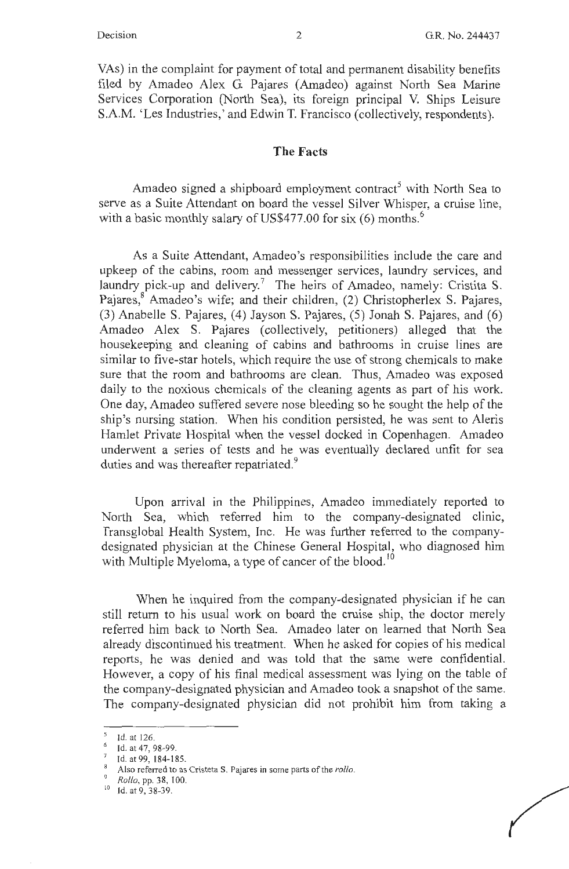VAs) in the complaint for payment of total and permanent disability benefits filed by Amadeo Alex G. Pajares (Amadeo) against North Sea Marine Services Corporation (North Sea), its foreign principal V. Ships Leisure S.A.M. 'Les Industries,' and Edwin T. Francisco (collectively, respondents).

### **The Facts**

Amadeo signed a shipboard employment contract<sup>5</sup> with North Sea to serve as a Suite Attendant on board the vessel Silver Whisper, a cruise line, with a basic monthly salary of US\$477.00 for six  $(6)$  months.<sup>6</sup>

As a Suite Attendant, Amadeo's responsibilities include the care and upkeep of the cabins, room and messenger services, laundry services, and laundry pick-up and delivery.<sup>7</sup> The heirs of Amadeo, namely: Cristita S. Pajares,<sup>8</sup> Amadeo's wife; and their children, (2) Christopherlex S. Pajares, (3) Anabelle S. Pajares, (4) Jayson S. Pajares, (5) Jonah S. Pajares, and (6) Amadeo Alex S. Pajares (collectively, petitioners) alleged that the housekeeping and cleaning of cabins and bathrooms in cruise lines are similar to five-star hotels, which require the use of strong chemicals to make sure that the room and bathrooms are clean. Thus, Amadeo was exposed daily to the noxious chemicals of the cleaning agents as part of his work. One day, Amadeo suffered severe nose bleeding so he sought the help of the ship's nursing station. When his condition persisted, he was sent to Aleris Hamlet Private Hospital when the vessel docked in Copenhagen. Amadeo underwent a series of tests and he was eventually declared unfit for sea duties and was thereafter repatriated.<sup>9</sup>

Upon arrival in the Philippines, Amadeo immediately reported to North Sea, which referred him to the company-designated clinic, Transglobal Health System, Inc. He was further referred to the companydesignated physician at the Chinese General Hospital, who diagnosed him with Multiple Myeloma, a type of cancer of the blood.<sup>10</sup>

When he inquired from the company-designated physician if he can still return to his usual work on board the cruise ship, the doctor merely referred him back to North Sea. Amadeo later on learned that North Sea already discontinued his treatment. When he asked for copies of his medical reports, he was denied and was told that the same were confidential. However, a copy of his final medical assessment was lying on the table of the company-designated physician and Amadeo took a snapshot of the same. The company-designated physician did not prohibit him from taking a

*<sup>5</sup>*Id. at 126. <sup>6</sup>Id. at 47, 98-99. 7 Id. at 99, 184- 185. 8 Also referred to as Cristeta S. Pajares in some parts of the *rollo.* <sup>9</sup>*Rollo, pp.38,* 100. 10 Id. at 9, 38-39.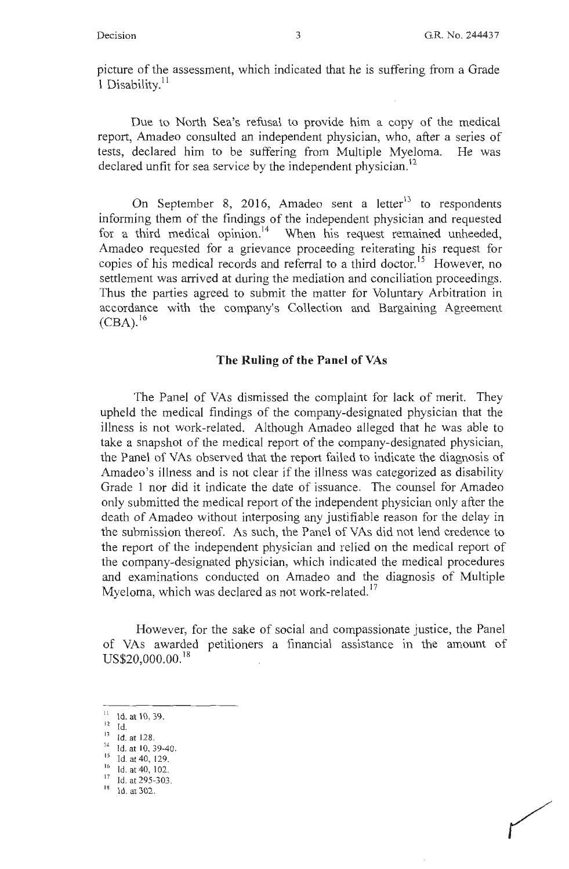picture of the assessment, which indicated that he is suffering from a Grade 1 Disability.<sup>11</sup>

Due to North Sea's refusal to provide him a copy of the medical report, Amadeo consulted an independent physician, who, after a series of tests, declared him to be suffering from Multiple Myeloma. He was declared unfit for sea service by the independent physician.<sup>12</sup>

On September 8, 2016, Amadeo sent a letter $13$  to respondents informing them of the findings of the independent physician and requested for a third medical opinion.<sup>14</sup> When his request remained unheeded, Amadeo requested for a grievance proceeding reiterating his request for copies of his medical records and referral to a third doctor.<sup>15</sup> However, no settlement was arrived at during the mediation and conciliation proceedings. Thus the parties agreed to submit the matter for Voluntary Arbitration in accordance with the company's Collection and Bargaining Agreement  $(CBA)^{16}$ 

### **The Ruling of the Panel of VAs**

The Panel of VAs dismissed the complaint for lack of merit. They upheld the medical findings of the company-designated physician that the illness is not work-related. Although Amadeo alleged that he was able to take a snapshot of the medical report of the company-designated physician, the Panel of VAs observed that the report failed to indicate the diagnosis of Amadeo's illness and is not clear if the illness was categorized as disability Grade 1 nor did it indicate the date of issuance. The counsel for Amadeo only submitted the medical report of the independent physician only after the death of Amadeo without interposing any justifiable reason for the delay in the submission thereof. As such, the Panel of VAs did not lend credence to the report of the independent physician and relied on the medical report of the company-designated physician, which indicated the medical procedures and examinations conducted on Amadeo and the diagnosis of Multiple Myeloma, which was declared as not work-related.<sup>17</sup>

However, for the sake of social and compassionate justice, the Panel of VAs awarded petitioners a financial assistance in the amount of US\$20,000.00.<sup>18</sup>

 $11$  Id. at 10, 39.

 $12$  Id.

<sup>13</sup> Id. at 128.<br>
14 Id. at 10, 39-40.<br>
15 Id. at 40, 129.

<sup>&</sup>lt;sup>16</sup> Id. at 40, 102.

 $17$  Id. at 295-303.<br>
18 Id. at 302.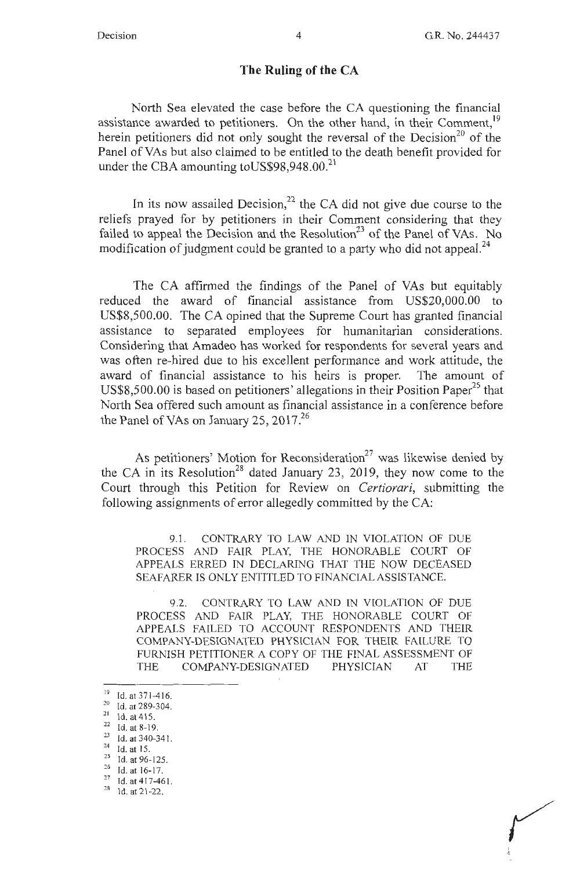### **The Ruling of the CA**

North Sea elevated the case before the CA questioning the financial assistance awarded to petitioners. On the other hand, in their Comment,<sup>19</sup> herein petitioners did not only sought the reversal of the Decision<sup>20</sup> of the Panel of VAs but also claimed to be entitled to the death benefit provided for under the CBA amounting to US\$98,948.00.<sup>21</sup>

In its now assailed Decision,<sup>22</sup> the CA did not give due course to the reliefs prayed for by petitioners in their Comment considering that they failed to appeal the Decision and the Resolution<sup>23</sup> of the Panel of VAs. No modification of judgment could be granted to a party who did not appeal.<sup>24</sup>

The CA affirmed the findings of the Panel of VAs but equitably reduced the award of financial assistance from US\$20,000.00 to US\$8,500.00. The CA opined that the Supreme Court has granted financial assistance to separated employees for humanitarian considerations. Considering that Amadeo has worked for respondents for several years and was often re-hired due to his excellent performance and work attitude, the award of financial assistance to his heirs is proper. The amount of US\$8,500.00 is based on petitioners' allegations in their Position Paper<sup>25</sup> that North Sea offered such amount as financial assistance in a conference before the Panel of VAs on January 25,  $2017<sup>26</sup>$ 

As petitioners' Motion for Reconsideration<sup>27</sup> was likewise denied by the CA in its Resolution<sup>28</sup> dated January 23, 2019, they now come to the Court through this Petition for Review on *Certiorari,* submitting the following assignments of error allegedly committed by the CA:

9.1. CONTRARY TO LAW AND IN VIOLATION OF DUE PROCESS AND FAIR PLAY, THE HONORABLE COURT OF APPEALS ERRED IN DECLARING THAT THE NOW DECEASED SEAFARER IS ONLY ENTITLED TO FINANCIAL ASSISTANCE.

9.2. CONTRARY TO LAW AND IN VIOLATION OF DUE PROCESS AND FAIR PLAY, THE HONORABLE COURT OF APPEALS FAILED TO ACCOUNT RESPONDENTS AND THEIR COMPANY-DESIGNATED PHYSICIAN FOR THEIR FAILURE TO FURNISH PETITIONER A COPY OF THE FINAL ASSESSMENT OF THE COMPANY-DESIGNATED PHYSICIAN AT THE

Id. at 371-416.

<sup>&</sup>lt;sup>20</sup> Id. at 289-304.<br><sup>21</sup> Id. at 415.<br><sup>22</sup> Id. at 8-19.

 $\frac{23}{24}$  Id. at 340-341.<br><sup>24</sup> Id. at 15.

 $\frac{25}{26}$  Id. at 96-125.

 $\frac{27}{28}$  Id. at 417-461.<br> $\frac{28}{10}$  Id. at 21-22.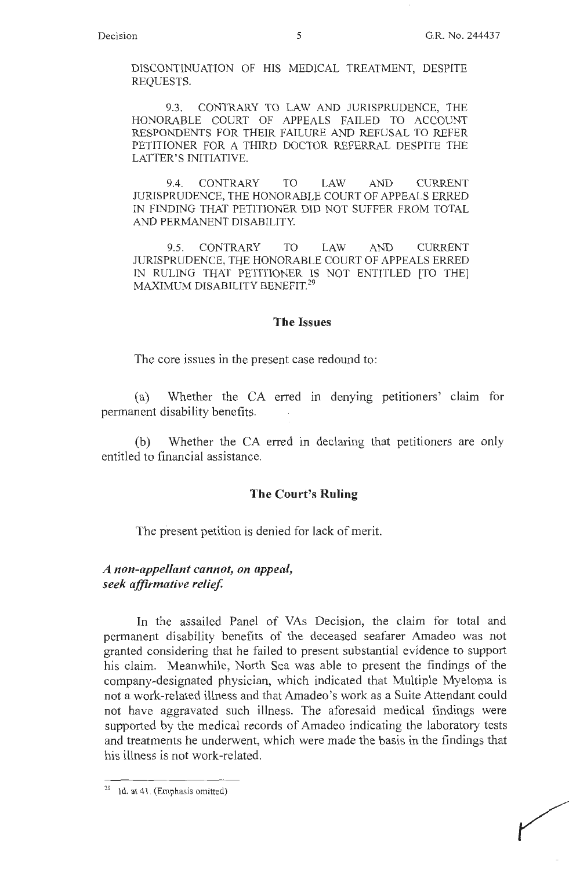DISCONTINUATION OF HIS MEDICAL TREATMENT, DESPITE REQUESTS.

9.3. CONTRARY TO LAW AND JURISPRUDENCE, THE HONORABLE COURT OF APPEALS FAILED TO ACCOUNT RESPONDENTS FOR THEIR FAILURE AND REFUSAL TO REFER PETITIONER FOR A THIRD DOCTOR REFERRAL DESPITE THE LATTER'S INITIATIVE.

9.4. CONTRARY TO LAW AND CURRENT JURISPRUDENCE, THE HONORABLE COURT OF APPEALS ERRED IN FINDING THAT PETITIONER DID NOT SUFFER FROM TOTAL AND PERMANENT DISABILITY.

9.5. CONTRARY TO LAW AND CURRENT JURISPRUDENCE, THE HONORABLE COURT OF APPEALS ERRED IN RULING THAT PETITIONER IS NOT ENTITLED [TO THE] MAXIMUM DISABILITY BENEFIT.<sup>29</sup>

#### **The Issues**

The core issues in the present case redound to:

(a) Whether the CA erred in denying petitioners' claim for permanent disability benefits.

(b) Whether the CA erred in declaring that petitioners are only entitled to financial assistance.

### **The Court's Ruling**

The present petition is denied for lack of merit.

## *A non-appellant cannot, on appeal, seek affirmative relief.*

In the assailed Panel of VAs Decision, the claim for total and permanent disability benefits of the deceased seafarer Amadeo was not granted considering that he failed to present substantial evidence to support his claim. Meanwhile, North Sea was able to present the findings of the company-designated physician, which indicated that Multiple Myeloma is not a work-related illness and that Amadeo's work as a Suite Attendant could not have aggravated such illness. The aforesaid medical findings were supported by the medical records of Amadeo indicating the laboratory tests and treatments he underwent, which were made the basis in the findings that his illness is not work-related.

<sup>29</sup> Id. at 41. (Emphasis omitted)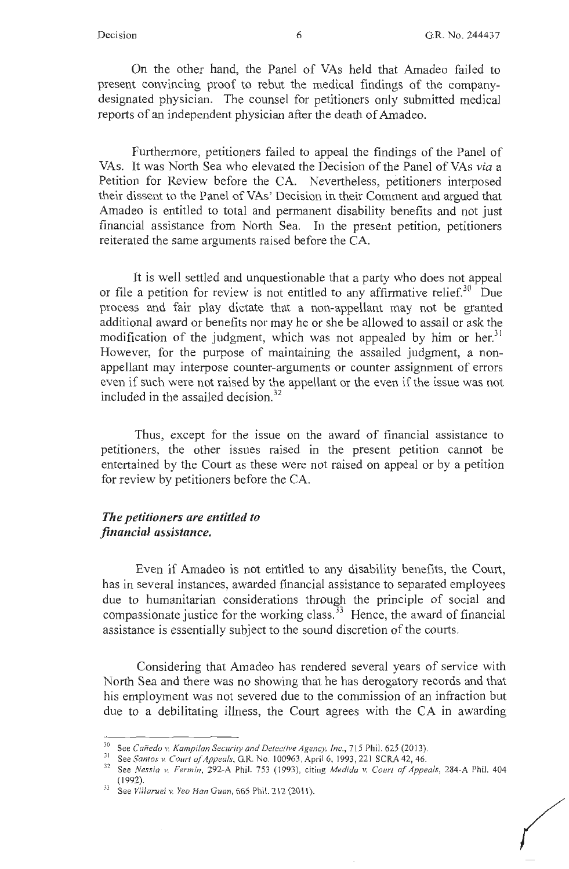*(* 

On the other hand, the Panel of VAs held that Amadeo failed to present convincing proof to rebut the medical findings of the companydesignated physician. The counsel for petitioners only submitted medical reports of an independent physician after the death of Amadeo.

Furthermore, petitioners failed to appeal the findings of the Panel of VAs. It was North Sea who elevated the Decision of the Panel of VAs *via* a Petition for Review before the CA. Nevertheless, petitioners interposed their dissent to the Panel of VAs' Decision in their Comment and argued that Amadeo is entitled to total and permanent disability benefits and not just financial assistance from North Sea. In the present petition, petitioners reiterated the same arguments raised before the CA.

It is well settled and unquestionable that a party who does not appeal or file a petition for review is not entitled to any affirmative relief.<sup>30</sup> Due process and fair play dictate that a non-appellant may not be granted additional award or benefits nor may he or she be allowed to assail or ask the modification of the judgment, which was not appealed by him or her. $31$ However, for the purpose of maintaining the assailed judgment, a nonappellant may interpose counter-arguments or counter assignment of errors even if such were not raised by the appellant or the even if the issue was not included in the assailed decision.<sup>32</sup>

Thus, except for the issue on the award of financial assistance to petitioners, the other issues raised in the present petition cannot be entertained by the Court as these were not raised on appeal or by a petition for review by petitioners before the CA.

# *The petitioners are entitled to financial assistance.*

Even if Amadeo is not entitled to any disability benefits, the Court, has in several instances, awarded financial assistance to separated employees due to humanitarian considerations through the principle of social and compassionate justice for the working class.<sup>33</sup> Hence, the award of financial assistance is essentially subject to the sound discretion of the courts.

Considering that Amadeo has rendered several years of service with North Sea and there was no showing that he has derogatory records and that his employment was not severed due to the commission of an infraction but due to a debilitating illness, the Court agrees with the CA in awarding

<sup>&</sup>lt;sup>30</sup> See Cañedo v. Kampilan Security and Detective Agency, Inc., 715 Phil. 625 (2013).

<sup>&</sup>lt;sup>31</sup> See *Santos v. Court of Appeals*, G.R. No. 100963, April 6, 1993, 221 SCRA 42, 46.

<sup>32</sup> See *Nessia v. Fermin,* 292-A Phil. 753 ( 1993), citing *Medida v. Court of Appeals,* 284-A Phil. 404 ( I 992). 33 **See** *Villaruel v. Yeo Han Guan,* **665 Phil. 2 12 (2011** ).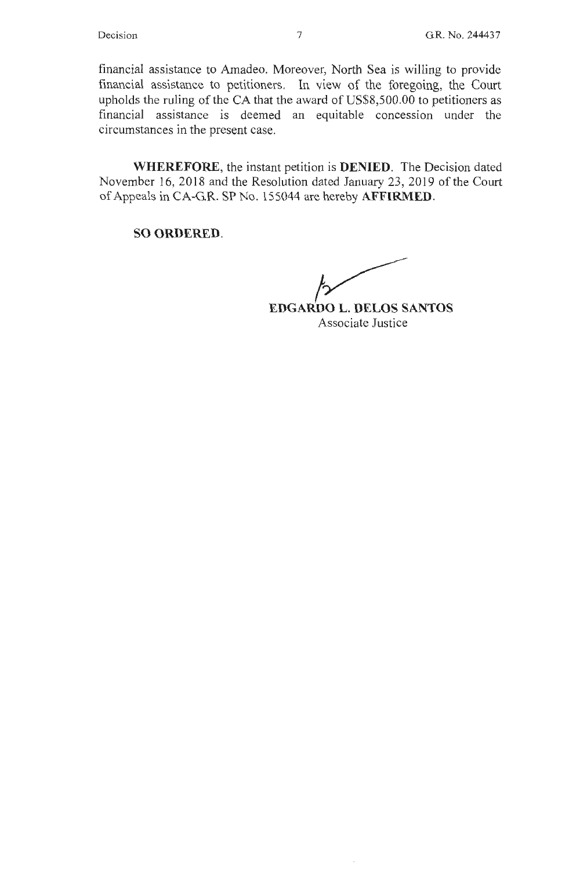financial assistance to Amadeo. Moreover, North Sea is willing to provide financial assistance to petitioners. In view of the foregoing, the Court upholds the ruling of the CA that the award of US\$8,500.00 to petitioners as financial assistance is deemed an equitable concession under the circumstances in the present case.

**WHEREFORE,** the instant petition is **DENIED.** The Decision dated November 16, 2018 and the Resolution dated January 23, 2019 of the Court of Appeals in CA-G.R. SP No. 155044 are hereby **AFFIRMED.** 

**SO ORDERED.** 

 $\overline{b}$ 

**EDGARDO L. DELOS SANTOS**  Associate Justice